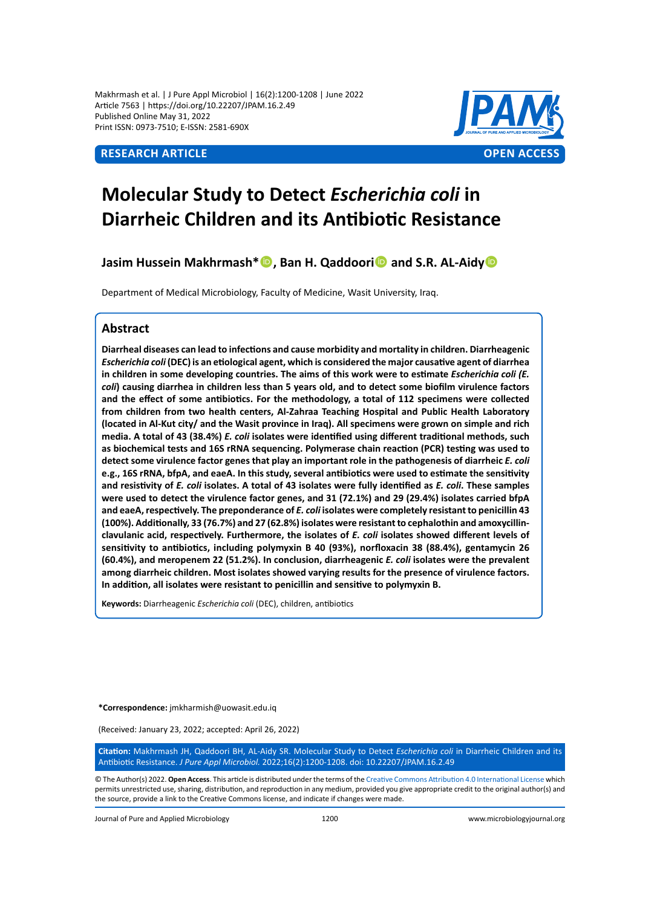Makhrmash et al. | J Pure Appl Microbiol | 16(2):1200-1208 | June 2022 Article 7563 | https://doi.org/10.22207/JPAM.16.2.49 Published Online May 31, 2022 Print ISSN: 0973-7510; E-ISSN: 2581-690X



# **Molecular Study to Detect** *Escherichia coli* **in Diarrheic Children and its Antibiotic Resistance**

**Jasim Hussein Makhrmash\***<sup>**D**</sup>, Ban H. Qaddoori<sup>**D**</sup> and S.R. AL-Aidy<sup>D</sup>

Department of Medical Microbiology, Faculty of Medicine, Wasit University, Iraq.

# **Abstract**

**Diarrheal diseases can lead to infections and cause morbidity and mortality in children. Diarrheagenic**  *Escherichia coli* **(DEC) is an etiological agent, which is considered the major causative agent of diarrhea in children in some developing countries. The aims of this work were to estimate** *Escherichia coli (E. coli***) causing diarrhea in children less than 5 years old, and to detect some biofilm virulence factors and the effect of some antibiotics. For the methodology, a total of 112 specimens were collected from children from two health centers, Al-Zahraa Teaching Hospital and Public Health Laboratory (located in Al-Kut city/ and the Wasit province in Iraq). All specimens were grown on simple and rich media. A total of 43 (38.4%)** *E. coli* **isolates were identified using different traditional methods, such as biochemical tests and 16S rRNA sequencing. Polymerase chain reaction (PCR) testing was used to detect some virulence factor genes that play an important role in the pathogenesis of diarrheic** *E. coli* **e.g., 16S rRNA, bfpA, and eaeA. In this study, several antibiotics were used to estimate the sensitivity and resistivity of** *E. coli* **isolates. A total of 43 isolates were fully identified as** *E. coli***. These samples were used to detect the virulence factor genes, and 31 (72.1%) and 29 (29.4%) isolates carried bfpA and eaeA, respectively. The preponderance of** *E. coli* **isolates were completely resistant to penicillin 43 (100%). Additionally, 33 (76.7%) and 27 (62.8%) isolates were resistant to cephalothin and amoxycillinclavulanic acid, respectively. Furthermore, the isolates of** *E. coli* **isolates showed different levels of sensitivity to antibiotics, including polymyxin B 40 (93%), norfloxacin 38 (88.4%), gentamycin 26 (60.4%), and meropenem 22 (51.2%). In conclusion, diarrheagenic** *E. coli* **isolates were the prevalent among diarrheic children. Most isolates showed varying results for the presence of virulence factors. In addition, all isolates were resistant to penicillin and sensitive to polymyxin B.**

**Keywords:** Diarrheagenic *Escherichia coli* (DEC), children, antibiotics

**\*Correspondence:** jmkharmish@uowasit.edu.iq

(Received: January 23, 2022; accepted: April 26, 2022)

**Citation:** Makhrmash JH, Qaddoori BH, AL-Aidy SR. Molecular Study to Detect *Escherichia coli* in Diarrheic Children and its Antibiotic Resistance. *J Pure Appl Microbiol.* 2022;16(2):1200-1208. doi: 10.22207/JPAM.16.2.49

© The Author(s) 2022. **Open Access**. This article is distributed under the terms of the [Creative Commons Attribution 4.0 International License](https://creativecommons.org/licenses/by/4.0/) which permits unrestricted use, sharing, distribution, and reproduction in any medium, provided you give appropriate credit to the original author(s) and the source, provide a link to the Creative Commons license, and indicate if changes were made.

Journal of Pure and Applied Microbiology 1200 www.microbiologyjournal.org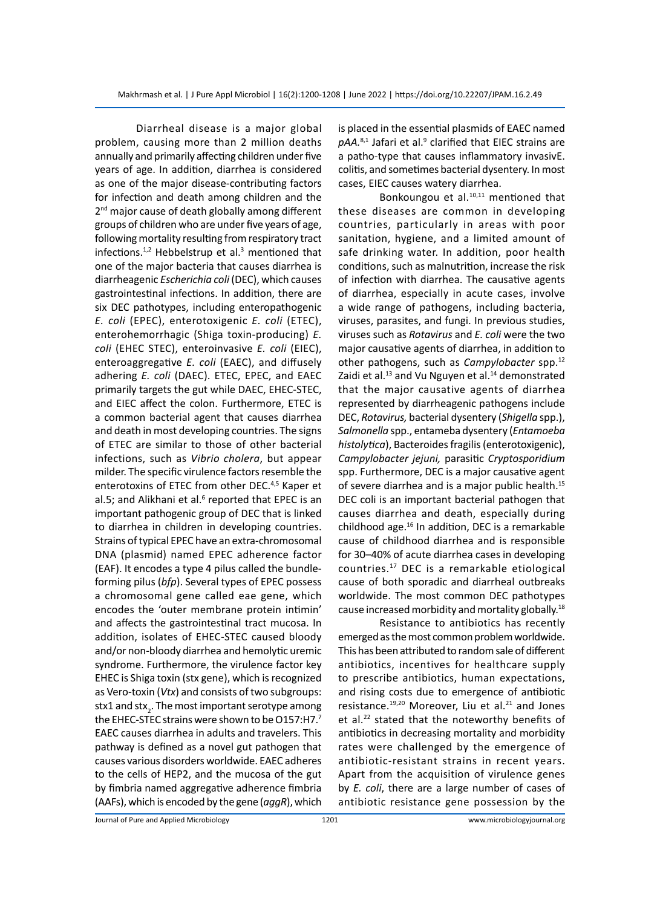Diarrheal disease is a major global problem, causing more than 2 million deaths annually and primarily affecting children under five years of age. In addition, diarrhea is considered as one of the major disease-contributing factors for infection and death among children and the 2<sup>nd</sup> major cause of death globally among different groups of children who are under five years of age, following mortality resulting from respiratory tract infections. $1,2$  Hebbelstrup et al.<sup>3</sup> mentioned that one of the major bacteria that causes diarrhea is diarrheagenic *Escherichia coli* (DEC), which causes gastrointestinal infections. In addition, there are six DEC pathotypes, including enteropathogenic *E. coli* (EPEC), enterotoxigenic *E. coli* (ETEC), enterohemorrhagic (Shiga toxin-producing) *E. coli* (EHEC STEC), enteroinvasive *E. coli* (EIEC), enteroaggregative *E. coli* (EAEC), and diffusely adhering *E. coli* (DAEC). ETEC, EPEC, and EAEC primarily targets the gut while DAEC, EHEC-STEC, and EIEC affect the colon. Furthermore, ETEC is a common bacterial agent that causes diarrhea and death in most developing countries. The signs of ETEC are similar to those of other bacterial infections, such as *Vibrio cholera*, but appear milder. The specific virulence factors resemble the enterotoxins of ETEC from other DEC.<sup>4,5</sup> Kaper et al.5; and Alikhani et al.<sup>6</sup> reported that EPEC is an important pathogenic group of DEC that is linked to diarrhea in children in developing countries. Strains of typical EPEC have an extra-chromosomal DNA (plasmid) named EPEC adherence factor (EAF). It encodes a type 4 pilus called the bundleforming pilus (*bfp*). Several types of EPEC possess a chromosomal gene called eae gene, which encodes the 'outer membrane protein intimin' and affects the gastrointestinal tract mucosa. In addition, isolates of EHEC-STEC caused bloody and/or non-bloody diarrhea and hemolytic uremic syndrome. Furthermore, the virulence factor key EHEC is Shiga toxin (stx gene), which is recognized as Vero-toxin (*Vtx*) and consists of two subgroups: stx1 and stx $_2$ . The most important serotype among the EHEC-STEC strains were shown to be O157:H7.7 EAEC causes diarrhea in adults and travelers. This pathway is defined as a novel gut pathogen that causes various disorders worldwide. EAEC adheres to the cells of HEP2, and the mucosa of the gut by fimbria named aggregative adherence fimbria (AAFs), which is encoded by the gene (*aggR*), which

is placed in the essential plasmids of EAEC named pAA.<sup>8,1</sup> Jafari et al.<sup>9</sup> clarified that EIEC strains are a patho-type that causes inflammatory invasivE. colitis, and sometimes bacterial dysentery. In most cases, EIEC causes watery diarrhea.

Bonkoungou et al.10,11 mentioned that these diseases are common in developing countries, particularly in areas with poor sanitation, hygiene, and a limited amount of safe drinking water. In addition, poor health conditions, such as malnutrition, increase the risk of infection with diarrhea. The causative agents of diarrhea, especially in acute cases, involve a wide range of pathogens, including bacteria, viruses, parasites, and fungi. In previous studies, viruses such as *Rotavirus* and *E. coli* were the two major causative agents of diarrhea, in addition to other pathogens, such as *Campylobacter* spp.12 Zaidi et al.<sup>13</sup> and Vu Nguyen et al.<sup>14</sup> demonstrated that the major causative agents of diarrhea represented by diarrheagenic pathogens include DEC, *Rotavirus,* bacterial dysentery (*Shigella* spp.), *Salmonella* spp., entameba dysentery (*Entamoeba histolytica*), Bacteroides fragilis (enterotoxigenic), *Campylobacter jejuni,* parasitic *Cryptosporidium*  spp. Furthermore, DEC is a major causative agent of severe diarrhea and is a major public health.15 DEC coli is an important bacterial pathogen that causes diarrhea and death, especially during childhood age.16 In addition, DEC is a remarkable cause of childhood diarrhea and is responsible for 30–40% of acute diarrhea cases in developing countries.17 DEC is a remarkable etiological cause of both sporadic and diarrheal outbreaks worldwide. The most common DEC pathotypes cause increased morbidity and mortality globally.<sup>18</sup>

Resistance to antibiotics has recently emerged as the most common problem worldwide. This has been attributed to random sale of different antibiotics, incentives for healthcare supply to prescribe antibiotics, human expectations, and rising costs due to emergence of antibiotic resistance.<sup>19,20</sup> Moreover, Liu et al.<sup>21</sup> and Jones et al.<sup>22</sup> stated that the noteworthy benefits of antibiotics in decreasing mortality and morbidity rates were challenged by the emergence of antibiotic-resistant strains in recent years. Apart from the acquisition of virulence genes by *E. coli*, there are a large number of cases of antibiotic resistance gene possession by the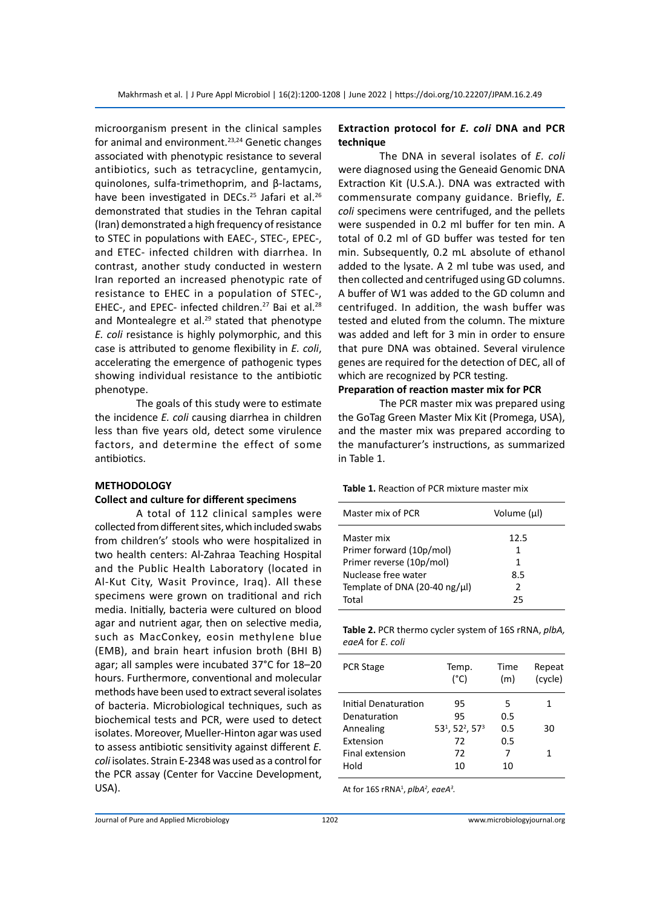microorganism present in the clinical samples for animal and environment.<sup>23,24</sup> Genetic changes associated with phenotypic resistance to several antibiotics, such as tetracycline, gentamycin, quinolones, sulfa-trimethoprim, and β-lactams, have been investigated in DECs.<sup>25</sup> Jafari et al.<sup>26</sup> demonstrated that studies in the Tehran capital (Iran) demonstrated a high frequency of resistance to STEC in populations with EAEC-, STEC-, EPEC-, and ETEC- infected children with diarrhea. In contrast, another study conducted in western Iran reported an increased phenotypic rate of resistance to EHEC in a population of STEC-, EHEC-, and EPEC- infected children.<sup>27</sup> Bai et al.<sup>28</sup> and Montealegre et al.<sup>29</sup> stated that phenotype *E. coli* resistance is highly polymorphic, and this case is attributed to genome flexibility in *E. coli*, accelerating the emergence of pathogenic types showing individual resistance to the antibiotic phenotype.

The goals of this study were to estimate the incidence *E. coli* causing diarrhea in children less than five years old, detect some virulence factors, and determine the effect of some antibiotics.

### **METHODOLOGY**

### **Collect and culture for different specimens**

A total of 112 clinical samples were collected from different sites, which included swabs from children's' stools who were hospitalized in two health centers: Al-Zahraa Teaching Hospital and the Public Health Laboratory (located in Al-Kut City, Wasit Province, Iraq). All these specimens were grown on traditional and rich media. Initially, bacteria were cultured on blood agar and nutrient agar, then on selective media, such as MacConkey, eosin methylene blue (EMB), and brain heart infusion broth (BHI B) agar; all samples were incubated 37°C for 18–20 hours. Furthermore, conventional and molecular methods have been used to extract several isolates of bacteria. Microbiological techniques, such as biochemical tests and PCR, were used to detect isolates. Moreover, Mueller-Hinton agar was used to assess antibiotic sensitivity against different *E. coli* isolates. Strain E-2348 was used as a control for the PCR assay (Center for Vaccine Development, USA).

# **Extraction protocol for** *E. coli* **DNA and PCR technique**

The DNA in several isolates of *E. coli* were diagnosed using the Geneaid Genomic DNA Extraction Kit (U.S.A.). DNA was extracted with commensurate company guidance. Briefly, *E. coli* specimens were centrifuged, and the pellets were suspended in 0.2 ml buffer for ten min. A total of 0.2 ml of GD buffer was tested for ten min. Subsequently, 0.2 mL absolute of ethanol added to the lysate. A 2 ml tube was used, and then collected and centrifuged using GD columns. A buffer of W1 was added to the GD column and centrifuged. In addition, the wash buffer was tested and eluted from the column. The mixture was added and left for 3 min in order to ensure that pure DNA was obtained. Several virulence genes are required for the detection of DEC, all of which are recognized by PCR testing.

# **Preparation of reaction master mix for PCR**

The PCR master mix was prepared using the GoTag Green Master Mix Kit (Promega, USA), and the master mix was prepared according to the manufacturer's instructions, as summarized in Table 1.

#### **Table 1.** Reaction of PCR mixture master mix

| Master mix of PCR             | Volume (µl)   |
|-------------------------------|---------------|
| Master mix                    | 12.5          |
| Primer forward (10p/mol)      | 1             |
| Primer reverse (10p/mol)      | 1             |
| Nuclease free water           | 8.5           |
| Template of DNA (20-40 ng/µl) | $\mathcal{P}$ |
| Total                         | 25            |
|                               |               |

|                  | <b>Table 2.</b> PCR thermo cycler system of 16S rRNA, plbA, |  |  |
|------------------|-------------------------------------------------------------|--|--|
| eaeA for E. coli |                                                             |  |  |

| Temp.<br>$(^{\circ}C)$                    | Time<br>(m) | Repeat<br>(cycle) |
|-------------------------------------------|-------------|-------------------|
| 95                                        | 5           | 1                 |
| 95                                        | 0.5         |                   |
| $531$ , 52 <sup>2</sup> , 57 <sup>3</sup> | 0.5         | 30                |
| 72                                        | 0.5         |                   |
| 72                                        | 7           | 1                 |
| 10                                        | 10          |                   |
|                                           |             |                   |

At for 16S rRNA<sup>1</sup> , *plbA2 , eaeA3 .*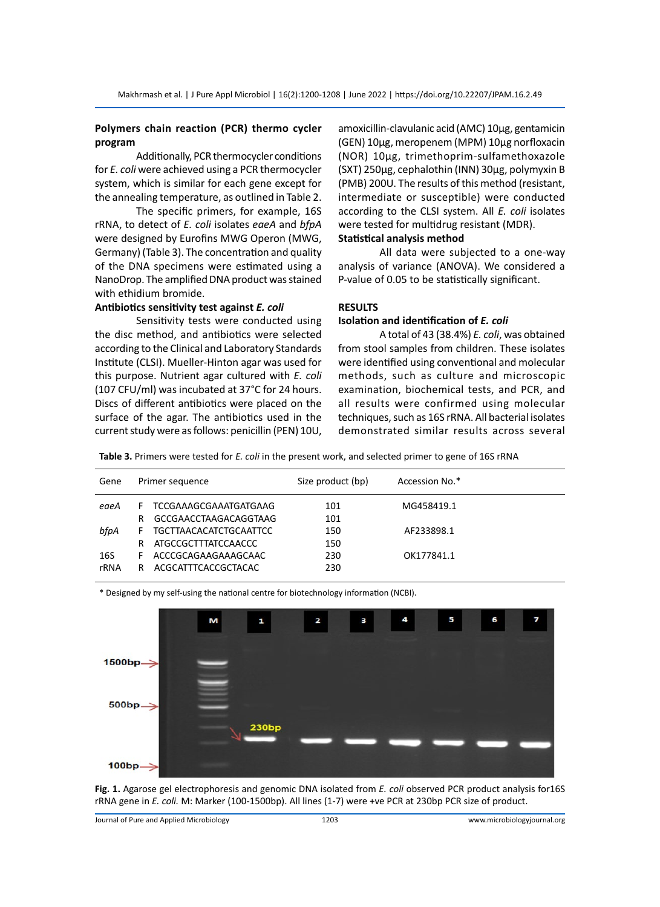# **Polymers chain reaction (PCR) thermo cycler program**

Additionally, PCR thermocycler conditions for *E. coli* were achieved using a PCR thermocycler system, which is similar for each gene except for the annealing temperature, as outlined in Table 2.

The specific primers, for example, 16S rRNA, to detect of *E. coli* isolates *eaeA* and *bfpA* were designed by Eurofins MWG Operon (MWG, Germany) (Table 3). The concentration and quality of the DNA specimens were estimated using a NanoDrop. The amplified DNA product was stained with ethidium bromide.

# **Antibiotics sensitivity test against** *E. coli*

Sensitivity tests were conducted using the disc method, and antibiotics were selected according to the Clinical and Laboratory Standards Institute (CLSI). Mueller-Hinton agar was used for this purpose. Nutrient agar cultured with *E. coli* (107 CFU/ml) was incubated at 37°C for 24 hours. Discs of different antibiotics were placed on the surface of the agar. The antibiotics used in the current study were as follows: penicillin (PEN) 10U,

amoxicillin-clavulanic acid (AMC) 10µg, gentamicin (GEN) 10µg, meropenem (MPM) 10µg norfloxacin (NOR) 10µg, trimethoprim-sulfamethoxazole (SXT) 250µg, cephalothin (INN) 30µg, polymyxin B (PMB) 200U. The results of this method (resistant, intermediate or susceptible) were conducted according to the CLSI system. All *E. coli* isolates were tested for multidrug resistant (MDR).

# **Statistical analysis method**

All data were subjected to a one-way analysis of variance (ANOVA). We considered a P-value of 0.05 to be statistically significant.

# **RESULTS**

#### **Isolation and identification of** *E. coli*

A total of 43 (38.4%) *E. coli*, was obtained from stool samples from children. These isolates were identified using conventional and molecular methods, such as culture and microscopic examination, biochemical tests, and PCR, and all results were confirmed using molecular techniques, such as 16S rRNA. All bacterial isolates demonstrated similar results across several

**Table 3.** Primers were tested for *E. coli* in the present work, and selected primer to gene of 16S rRNA

| Gene | Primer sequence |                               | Size product (bp) | Accession No.* |  |  |
|------|-----------------|-------------------------------|-------------------|----------------|--|--|
| eaeA | F.              | TCCGAAAGCGAAATGATGAAG         | 101               | MG458419.1     |  |  |
|      | R               | GCCGAACCTAAGACAGGTAAG         | 101               |                |  |  |
| bfpA | F.              | <b>TGCTTAACACATCTGCAATTCC</b> | 150               | AF233898.1     |  |  |
|      | R               | ATGCCGCTTTATCCAACCC           | 150               |                |  |  |
| 16S  | F.              | ACCCGCAGAAGAAAGCAAC           | 230               | OK177841.1     |  |  |
| rRNA | R               | ACGCATTTCACCGCTACAC           | 230               |                |  |  |

\* Designed by my self-using the national centre for biotechnology information (NCBI).



**Fig. 1.** Agarose gel electrophoresis and genomic DNA isolated from *E. coli* observed PCR product analysis for16S rRNA gene in *E. coli.* M: Marker (100-1500bp). All lines (1-7) were +ve PCR at 230bp PCR size of product.

Journal of Pure and Applied Microbiology 1203 www.microbiologyjournal.org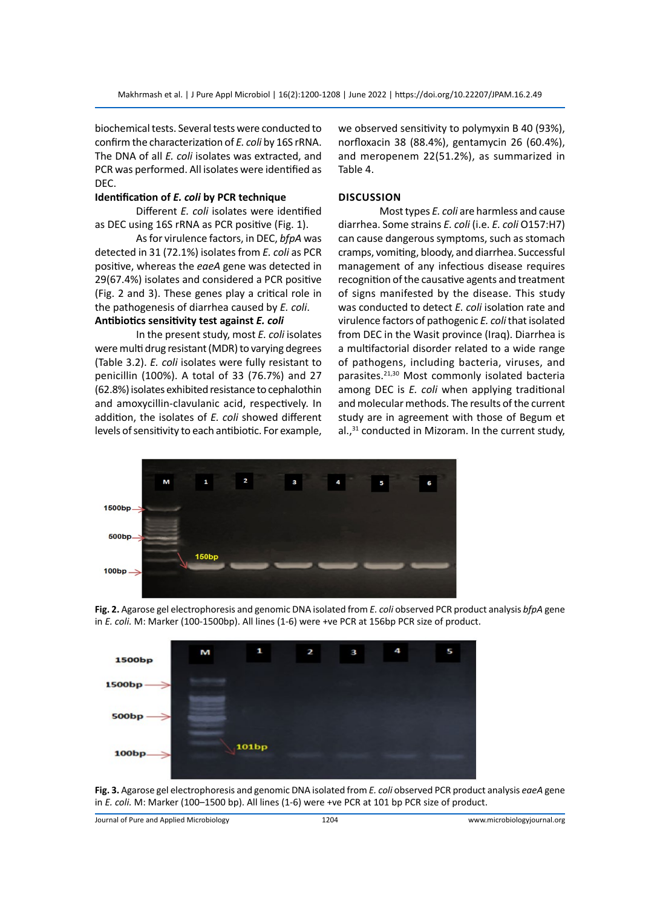biochemical tests. Several tests were conducted to confirm the characterization of *E. coli* by 16S rRNA. The DNA of all *E. coli* isolates was extracted, and PCR was performed. All isolates were identified as DEC.

# **Identification of** *E. coli* **by PCR technique**

Different *E. coli* isolates were identified as DEC using 16S rRNA as PCR positive (Fig. 1).

As for virulence factors, in DEC, *bfpA* was detected in 31 (72.1%) isolates from *E. coli* as PCR positive, whereas the *eaeA* gene was detected in 29(67.4%) isolates and considered a PCR positive (Fig. 2 and 3). These genes play a critical role in the pathogenesis of diarrhea caused by *E. coli*. **Antibiotics sensitivity test against** *E. coli*

In the present study, most *E. coli* isolates were multi drug resistant (MDR) to varying degrees (Table 3.2). *E. coli* isolates were fully resistant to penicillin (100%). A total of 33 (76.7%) and 27 (62.8%) isolates exhibited resistance to cephalothin and amoxycillin-clavulanic acid, respectively. In addition, the isolates of *E. coli* showed different levels of sensitivity to each antibiotic. For example, we observed sensitivity to polymyxin B 40 (93%), norfloxacin 38 (88.4%), gentamycin 26 (60.4%), and meropenem 22(51.2%), as summarized in Table 4.

### **Discussion**

Most types *E. coli* are harmless and cause diarrhea. Some strains *E. coli* (i.e. *E. coli* O157:H7) can cause dangerous symptoms, such as stomach cramps, vomiting, bloody, and diarrhea. Successful management of any infectious disease requires recognition of the causative agents and treatment of signs manifested by the disease. This study was conducted to detect *E. coli* isolation rate and virulence factors of pathogenic *E. coli* that isolated from DEC in the Wasit province (Iraq). Diarrhea is a multifactorial disorder related to a wide range of pathogens, including bacteria, viruses, and parasites.21,30 Most commonly isolated bacteria among DEC is *E. coli* when applying traditional and molecular methods. The results of the current study are in agreement with those of Begum et al.,<sup>31</sup> conducted in Mizoram. In the current study,



**Fig. 2.** Agarose gel electrophoresis and genomic DNA isolated from *E. coli* observed PCR product analysis *bfpA* gene in *E. coli.* M: Marker (100-1500bp). All lines (1-6) were +ve PCR at 156bp PCR size of product.



**Fig. 3.** Agarose gel electrophoresis and genomic DNA isolated from *E. coli* observed PCR product analysis *eaeA* gene in *E. coli.* M: Marker (100–1500 bp). All lines (1-6) were +ve PCR at 101 bp PCR size of product.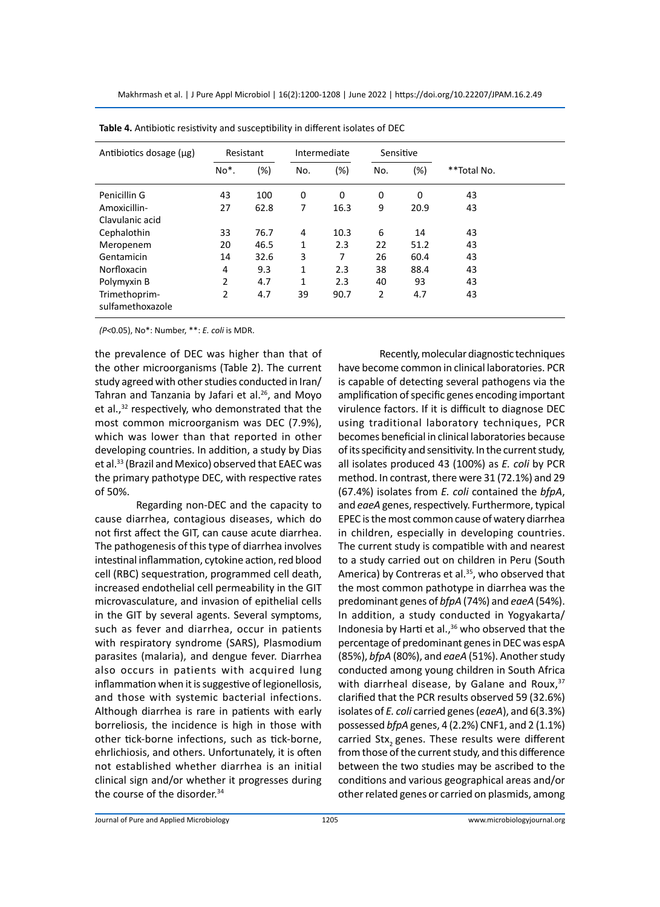| Antibiotics dosage (µg)           | Resistant         |      | Intermediate |        | Sensitive      |        |             |  |
|-----------------------------------|-------------------|------|--------------|--------|----------------|--------|-------------|--|
|                                   | No <sup>*</sup> . | (%)  | No.          | $(\%)$ | No.            | $(\%)$ | **Total No. |  |
| Penicillin G                      | 43                | 100  | 0            | 0      | 0              | 0      | 43          |  |
| Amoxicillin-                      | 27                | 62.8 | 7            | 16.3   | 9              | 20.9   | 43          |  |
| Clavulanic acid                   |                   |      |              |        |                |        |             |  |
| Cephalothin                       | 33                | 76.7 | 4            | 10.3   | 6              | 14     | 43          |  |
| Meropenem                         | 20                | 46.5 | $\mathbf{1}$ | 2.3    | 22             | 51.2   | 43          |  |
| Gentamicin                        | 14                | 32.6 | 3            | 7      | 26             | 60.4   | 43          |  |
| Norfloxacin                       | 4                 | 9.3  | 1            | 2.3    | 38             | 88.4   | 43          |  |
| Polymyxin B                       | $\overline{2}$    | 4.7  | 1            | 2.3    | 40             | 93     | 43          |  |
| Trimethoprim-<br>sulfamethoxazole | 2                 | 4.7  | 39           | 90.7   | $\overline{2}$ | 4.7    | 43          |  |

**Table 4.** Antibiotic resistivity and susceptibility in different isolates of DEC

*(P<*0.05), No\*: Number, \*\*: *E. coli* is MDR.

the prevalence of DEC was higher than that of the other microorganisms (Table 2). The current study agreed with other studies conducted in Iran/ Tahran and Tanzania by Jafari et al.<sup>26</sup>, and Moyo et al.,<sup>32</sup> respectively, who demonstrated that the most common microorganism was DEC (7.9%), which was lower than that reported in other developing countries. In addition, a study by Dias et al.<sup>33</sup> (Brazil and Mexico) observed that EAEC was the primary pathotype DEC, with respective rates of 50%.

Regarding non-DEC and the capacity to cause diarrhea, contagious diseases, which do not first affect the GIT, can cause acute diarrhea. The pathogenesis of this type of diarrhea involves intestinal inflammation, cytokine action, red blood cell (RBC) sequestration, programmed cell death, increased endothelial cell permeability in the GIT microvasculature, and invasion of epithelial cells in the GIT by several agents. Several symptoms, such as fever and diarrhea, occur in patients with respiratory syndrome (SARS), Plasmodium parasites (malaria), and dengue fever. Diarrhea also occurs in patients with acquired lung inflammation when it is suggestive of legionellosis, and those with systemic bacterial infections. Although diarrhea is rare in patients with early borreliosis, the incidence is high in those with other tick-borne infections, such as tick-borne, ehrlichiosis, and others. Unfortunately, it is often not established whether diarrhea is an initial clinical sign and/or whether it progresses during the course of the disorder.<sup>34</sup>

Recently, molecular diagnostic techniques have become common in clinical laboratories. PCR is capable of detecting several pathogens via the amplification of specific genes encoding important virulence factors. If it is difficult to diagnose DEC using traditional laboratory techniques, PCR becomes beneficial in clinical laboratories because of its specificity and sensitivity. In the current study, all isolates produced 43 (100%) as *E. coli* by PCR method. In contrast, there were 31 (72.1%) and 29 (67.4%) isolates from *E. coli* contained the *bfpA*, and *eaeA* genes, respectively. Furthermore, typical EPEC is the most common cause of watery diarrhea in children, especially in developing countries. The current study is compatible with and nearest to a study carried out on children in Peru (South America) by Contreras et al.<sup>35</sup>, who observed that the most common pathotype in diarrhea was the predominant genes of *bfpA* (74%) and *eaeA* (54%). In addition, a study conducted in Yogyakarta/ Indonesia by Harti et al.,<sup>36</sup> who observed that the percentage of predominant genes in DEC was espA (85%), *bfpA* (80%), and *eaeA* (51%). Another study conducted among young children in South Africa with diarrheal disease, by Galane and Roux,  $37$ clarified that the PCR results observed 59 (32.6%) isolates of *E. coli* carried genes (*eaeA*), and 6(3.3%) possessed *bfpA* genes, 4 (2.2%) CNF1, and 2 (1.1%) carried Stx, genes. These results were different from those of the current study, and this difference between the two studies may be ascribed to the conditions and various geographical areas and/or other related genes or carried on plasmids, among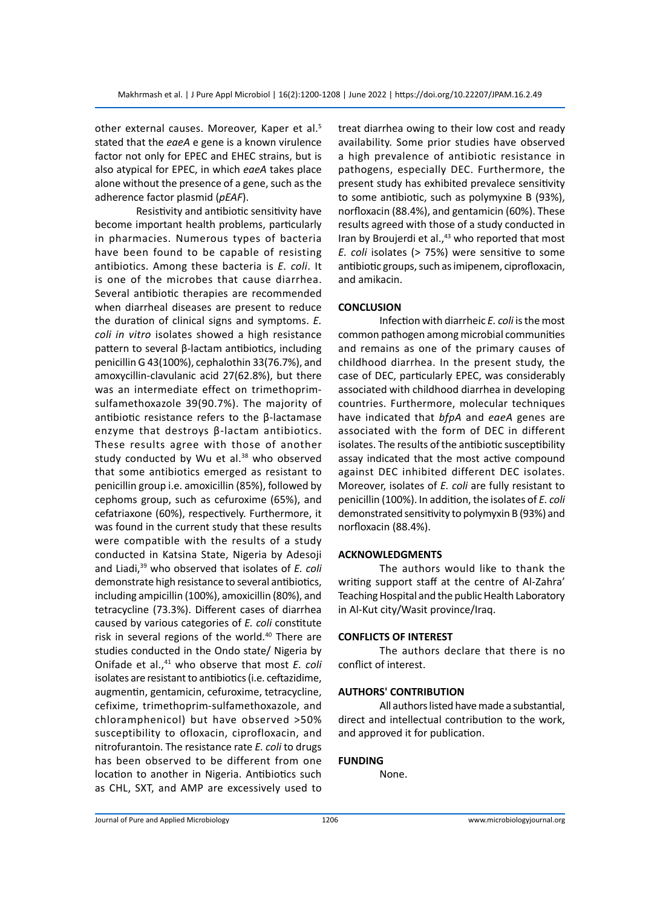other external causes. Moreover, Kaper et al.<sup>5</sup> stated that the *eaeA* e gene is a known virulence factor not only for EPEC and EHEC strains, but is also atypical for EPEC, in which *eaeA* takes place alone without the presence of a gene, such as the adherence factor plasmid (*pEAF*).

Resistivity and antibiotic sensitivity have become important health problems, particularly in pharmacies. Numerous types of bacteria have been found to be capable of resisting antibiotics. Among these bacteria is *E. coli*. It is one of the microbes that cause diarrhea. Several antibiotic therapies are recommended when diarrheal diseases are present to reduce the duration of clinical signs and symptoms. *E. coli in vitro* isolates showed a high resistance pattern to several β-lactam antibiotics, including penicillin G 43(100%), cephalothin 33(76.7%), and amoxycillin-clavulanic acid 27(62.8%), but there was an intermediate effect on trimethoprimsulfamethoxazole 39(90.7%). The majority of antibiotic resistance refers to the β-lactamase enzyme that destroys β-lactam antibiotics. These results agree with those of another study conducted by Wu et al. $38$  who observed that some antibiotics emerged as resistant to penicillin group i.e. amoxicillin (85%), followed by cephoms group, such as cefuroxime (65%), and cefatriaxone (60%), respectively. Furthermore, it was found in the current study that these results were compatible with the results of a study conducted in Katsina State, Nigeria by Adesoji and Liadi,39 who observed that isolates of *E. coli* demonstrate high resistance to several antibiotics, including ampicillin (100%), amoxicillin (80%), and tetracycline (73.3%). Different cases of diarrhea caused by various categories of *E. coli* constitute risk in several regions of the world.<sup>40</sup> There are studies conducted in the Ondo state/ Nigeria by Onifade et al.,<sup>41</sup> who observe that most *E. coli* isolates are resistant to antibiotics (i.e. ceftazidime, augmentin, gentamicin, cefuroxime, tetracycline, cefixime, trimethoprim-sulfamethoxazole, and chloramphenicol) but have observed >50% susceptibility to ofloxacin, ciprofloxacin, and nitrofurantoin. The resistance rate *E. coli* to drugs has been observed to be different from one location to another in Nigeria. Antibiotics such as CHL, SXT, and AMP are excessively used to treat diarrhea owing to their low cost and ready availability. Some prior studies have observed a high prevalence of antibiotic resistance in pathogens, especially DEC. Furthermore, the present study has exhibited prevalece sensitivity to some antibiotic, such as polymyxine B (93%), norfloxacin (88.4%), and gentamicin (60%). These results agreed with those of a study conducted in Iran by Broujerdi et al.,<sup>43</sup> who reported that most *E. coli* isolates (> 75%) were sensitive to some antibiotic groups, such as imipenem, ciprofloxacin, and amikacin.

# **CONCLUSION**

Infection with diarrheic *E. coli* is the most common pathogen among microbial communities and remains as one of the primary causes of childhood diarrhea. In the present study, the case of DEC, particularly EPEC, was considerably associated with childhood diarrhea in developing countries. Furthermore, molecular techniques have indicated that *bfpA* and *eaeA* genes are associated with the form of DEC in different isolates. The results of the antibiotic susceptibility assay indicated that the most active compound against DEC inhibited different DEC isolates. Moreover, isolates of *E. coli* are fully resistant to penicillin (100%). In addition, the isolates of *E. coli* demonstrated sensitivity to polymyxin B (93%) and norfloxacin (88.4%).

# **ACKNOWLEDGMENTS**

The authors would like to thank the writing support staff at the centre of Al-Zahra' Teaching Hospital and the public Health Laboratory in Al-Kut city/Wasit province/Iraq.

#### **CONFLICTS OF INTEREST**

The authors declare that there is no conflict of interest.

#### **AUTHORS' CONTRIBUTION**

All authors listed have made a substantial, direct and intellectual contribution to the work, and approved it for publication.

# **FUNDING**

None.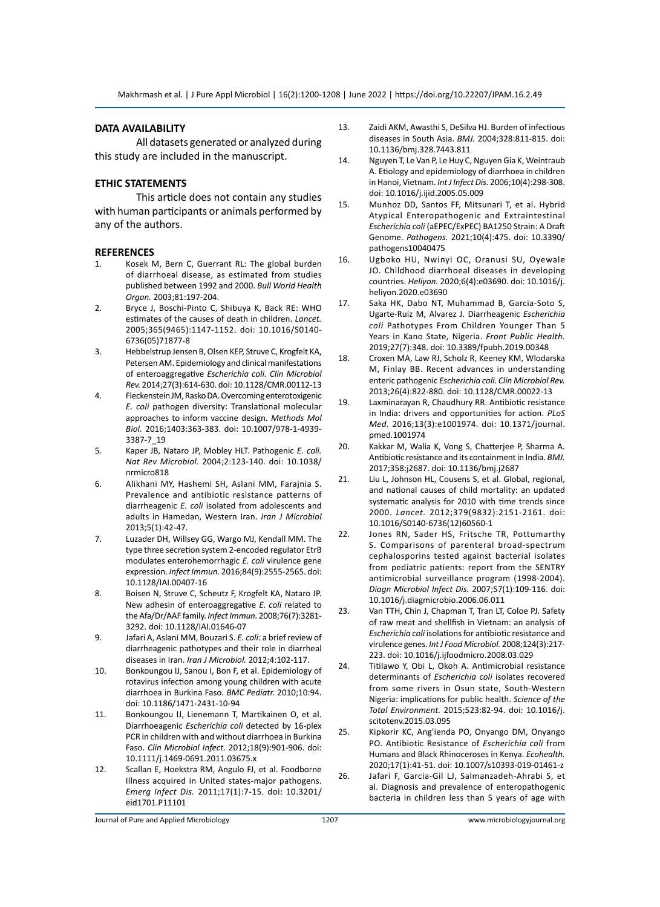#### **DATA AVAILABILITY**

All datasets generated or analyzed during this study are included in the manuscript.

### **ETHIC STATEMENTS**

This article does not contain any studies with human participants or animals performed by any of the authors.

#### **REFERENCES**

- 1. Kosek M, Bern C, Guerrant RL: The global burden of diarrhoeal disease, as estimated from studies published between 1992 and 2000. *Bull World Health Organ.* 2003;81:197-204.
- 2. Bryce J, Boschi-Pinto C, Shibuya K, Back RE: WHO estimates of the causes of death in children. *Lancet.*  2005;365(9465):1147-1152. doi: 10.1016/S0140- 6736(05)71877-8
- 3. Hebbelstrup Jensen B, Olsen KEP, Struve C, Krogfelt KA, Petersen AM. Epidemiology and clinical manifestations of enteroaggregative *Escherichia coli. Clin Microbiol Rev.* 2014;27(3):614-630. doi: 10.1128/CMR.00112-13
- 4. Fleckenstein JM, Rasko DA. Overcoming enterotoxigenic *E. coli* pathogen diversity: Translational molecular approaches to inform vaccine design. *Methods Mol Biol.* 2016;1403:363-383. doi: 10.1007/978-1-4939- 3387-7\_19
- 5. Kaper JB, Nataro JP, Mobley HLT. Pathogenic *E. coli. Nat Rev Microbiol.* 2004;2:123-140. doi: 10.1038/ nrmicro818
- 6. Alikhani MY, Hashemi SH, Aslani MM, Farajnia S. Prevalence and antibiotic resistance patterns of diarrheagenic *E. coli* isolated from adolescents and adults in Hamedan, Western Iran. *Iran J Microbiol* 2013;5(1):42-47.
- 7. Luzader DH, Willsey GG, Wargo MJ, Kendall MM. The type three secretion system 2-encoded regulator EtrB modulates enterohemorrhagic *E. coli* virulence gene expression. *Infect Immun.* 2016;84(9):2555-2565. doi: 10.1128/IAI.00407-16
- 8. Boisen N, Struve C, Scheutz F, Krogfelt KA, Nataro JP. New adhesin of enteroaggregative *E. coli* related to the Afa/Dr/AAF family. *Infect Immun.* 2008;76(7):3281- 3292. doi: 10.1128/IAI.01646-07
- 9. Jafari A, Aslani MM, Bouzari S. *E. coli:* a brief review of diarrheagenic pathotypes and their role in diarrheal diseases in Iran. *Iran J Microbiol.* 2012;4:102-117.
- 10. Bonkoungou IJ, Sanou I, Bon F, et al. Epidemiology of rotavirus infection among young children with acute diarrhoea in Burkina Faso. *BMC Pediatr.* 2010;10:94. doi: 10.1186/1471-2431-10-94
- 11. Bonkoungou IJ, Lienemann T, Martikainen O, et al. Diarrhoeagenic *Escherichia coli* detected by 16-plex PCR in children with and without diarrhoea in Burkina Faso. *Clin Microbiol Infect.* 2012;18(9):901-906. doi: 10.1111/j.1469-0691.2011.03675.x
- 12. Scallan E, Hoekstra RM, Angulo FJ, et al. Foodborne Illness acquired in United states-major pathogens. *Emerg Infect Dis.* 2011;17(1):7-15. doi: 10.3201/ eid1701.P11101
- 13. Zaidi AKM, Awasthi S, DeSilva HJ. Burden of infectious diseases in South Asia. *BMJ.* 2004;328:811-815. doi: 10.1136/bmj.328.7443.811
- 14. Nguyen T, Le Van P, Le Huy C, Nguyen Gia K, Weintraub A. Etiology and epidemiology of diarrhoea in children in Hanoi, Vietnam. *Int J Infect Dis.* 2006;10(4):298-308. doi: 10.1016/j.ijid.2005.05.009
- 15. Munhoz DD, Santos FF, Mitsunari T, et al. Hybrid Atypical Enteropathogenic and Extraintestinal *Escherichia coli* (aEPEC/ExPEC) BA1250 Strain: A Draft Genome. *Pathogens.* 2021;10(4):475. doi: 10.3390/ pathogens10040475
- 16. Ugboko HU, Nwinyi OC, Oranusi SU, Oyewale JO. Childhood diarrhoeal diseases in developing countries. *Heliyon.* 2020;6(4):e03690. doi: 10.1016/j. heliyon.2020.e03690
- 17. Saka HK, Dabo NT, Muhammad B, Garcia-Soto S, Ugarte-Ruiz M, Alvarez J. Diarrheagenic *Escherichia coli* Pathotypes From Children Younger Than 5 Years in Kano State, Nigeria. *Front Public Health.* 2019;27(7):348. doi: 10.3389/fpubh.2019.00348
- 18. Croxen MA, Law RJ, Scholz R, Keeney KM, Wlodarska M, Finlay BB. Recent advances in understanding enteric pathogenic *Escherichia coli*. *Clin Microbiol Rev.* 2013;26(4):822-880. doi: 10.1128/CMR.00022-13
- 19. Laxminarayan R, Chaudhury RR. Antibiotic resistance in India: drivers and opportunities for action. *PLoS Med.* 2016;13(3):e1001974. doi: 10.1371/journal. pmed.1001974
- 20. Kakkar M, Walia K, Vong S, Chatterjee P, Sharma A. Antibiotic resistance and its containment in India. *BMJ.* 2017;358:j2687. doi: 10.1136/bmj.j2687
- 21. Liu L, Johnson HL, Cousens S, et al. Global, regional, and national causes of child mortality: an updated systematic analysis for 2010 with time trends since 2000. *Lancet.* 2012;379(9832):2151-2161. doi: 10.1016/S0140-6736(12)60560-1
- 22. Jones RN, Sader HS, Fritsche TR, Pottumarthy S. Comparisons of parenteral broad-spectrum cephalosporins tested against bacterial isolates from pediatric patients: report from the SENTRY antimicrobial surveillance program (1998-2004). *Diagn Microbiol Infect Dis.* 2007;57(1):109-116. doi: 10.1016/j.diagmicrobio.2006.06.011
- 23. Van TTH, Chin J, Chapman T, Tran LT, Coloe PJ. Safety of raw meat and shellfish in Vietnam: an analysis of *Escherichia coli* isolations for antibiotic resistance and virulence genes. *Int J Food Microbiol.* 2008;124(3):217- 223. doi: 10.1016/j.ijfoodmicro.2008.03.029
- 24. Titilawo Y, Obi L, Okoh A. Antimicrobial resistance determinants of *Escherichia coli* isolates recovered from some rivers in Osun state, South-Western Nigeria: implications for public health. *Science of the Total Environment.* 2015;523:82-94. doi: 10.1016/j. scitotenv.2015.03.095
- 25. Kipkorir KC, Ang'ienda PO, Onyango DM, Onyango PO. Antibiotic Resistance of *Escherichia coli* from Humans and Black Rhinoceroses in Kenya. *Ecohealth.* 2020;17(1):41-51. doi: 10.1007/s10393-019-01461-z
- 26. Jafari F, Garcia-Gil LJ, Salmanzadeh-Ahrabi S, et al. Diagnosis and prevalence of enteropathogenic bacteria in children less than 5 years of age with